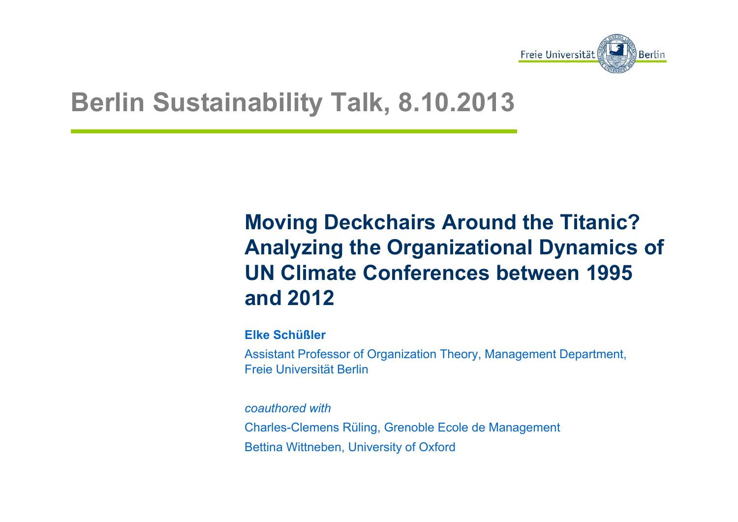

# **Berlin Sustainability Talk, 8.10.2013**

### **Moving Deckchairs Around the Titanic? Analyzing the Organizational Dynamics of UN Climate Conferences between 1995 and 2012**

**Elke Schüßler**

Assistant Professor of Organization Theory, Management Department, Freie Universität Berlin

*coauthored with* Charles-Clemens Rüling, Grenoble Ecole de Management Bettina Wittneben, University of Oxford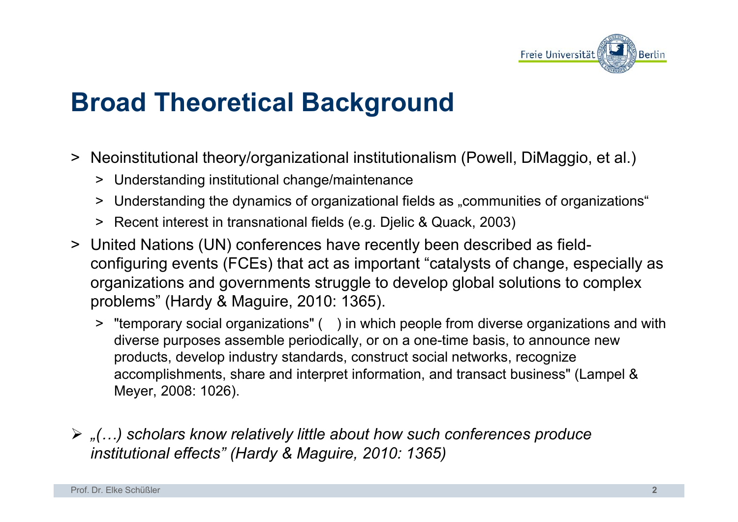

# **Broad Theoretical Background**

- > Neoinstitutional theory/organizational institutionalism (Powell, DiMaggio, et al.)
	- > Understanding institutional change/maintenance
	- > Understanding the dynamics of organizational fields as ..communities of organizations \*
	- > Recent interest in transnational fields (e.g. Djelic & Quack, 2003)
- > United Nations (UN) conferences have recently been described as fieldconfiguring events (FCEs) that act as important "catalysts of change, especially as organizations and governments struggle to develop global solutions to complex problems" (Hardy & Maguire, 2010: 1365).
	- > "temporary social organizations" ( ) in which people from diverse organizations and with diverse purposes assemble periodically, or on a one-time basis, to announce new products, develop industry standards, construct social networks, recognize accomplishments, share and interpret information, and transact business" (Lampel & Meyer, 2008: 1026).
- ¾ *"(…) scholars know relatively little about how such conferences produce institutional effects" (Hardy & Maguire, 2010: 1365)*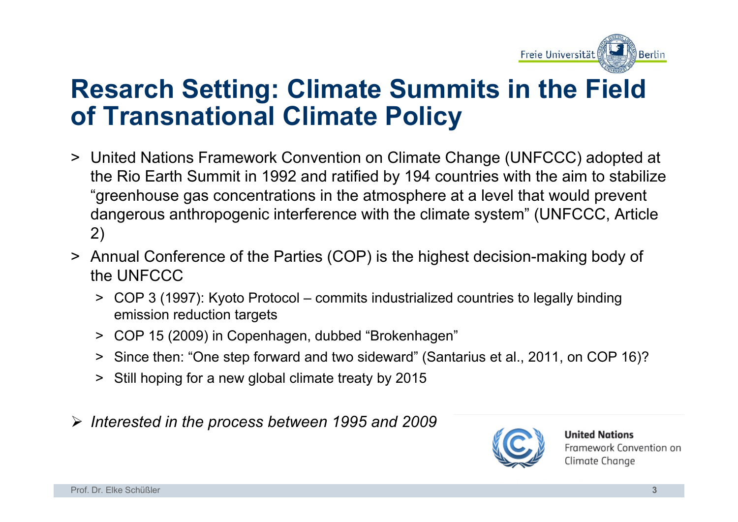

## **Resarch Setting: Climate Summits in the Field of Transnational Climate Policy**

- > United Nations Framework Convention on Climate Change (UNFCCC) adopted at the Rio Earth Summit in 1992 and ratified by 194 countries with the aim to stabilize "greenhouse gas concentrations in the atmosphere at a level that would prevent dangerous anthropogenic interference with the climate system" (UNFCCC, Article 2)
- > Annual Conference of the Parties (COP) is the highest decision-making body of the UNFCCC
	- > COP 3 (1997): Kyoto Protocol commits industrialized countries to legally binding emission reduction targets
	- > COP 15 (2009) in Copenhagen, dubbed "Brokenhagen"
	- > Since then: "One step forward and two sideward" (Santarius et al., 2011, on COP 16)?
	- > Still hoping for a new global climate treaty by 2015
- ¾ *Interested in the process between 1995 and 2009*



**United Nations** Framework Convention on Climate Change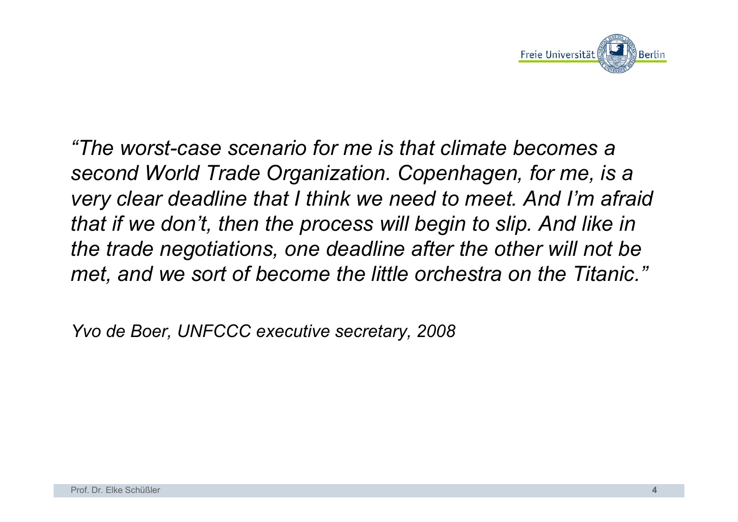

*"The worst-case scenario for me is that climate becomes a second World Trade Organization. Copenhagen, for me, is a very clear deadline that I think we need to meet. And I'm afraid that if we don't, then the process will begin to slip. And like in the trade negotiations, one deadline after the other will not be met, and we sort of become the little orchestra on the Titanic."*

*Yvo de Boer, UNFCCC executive secretary, 2008*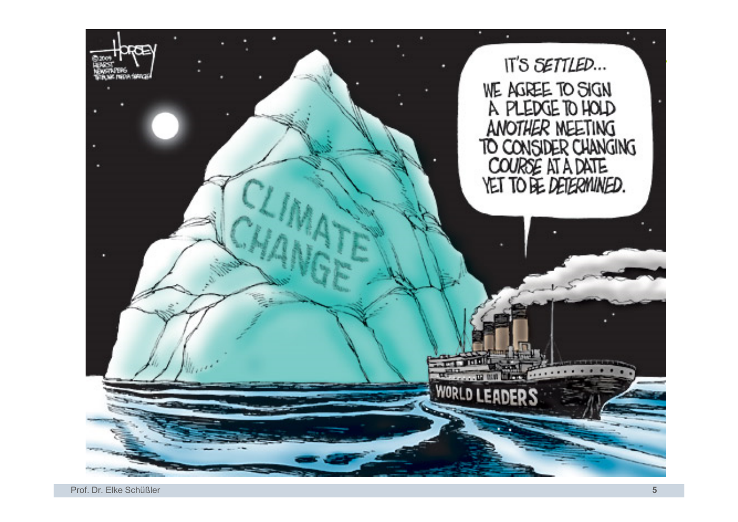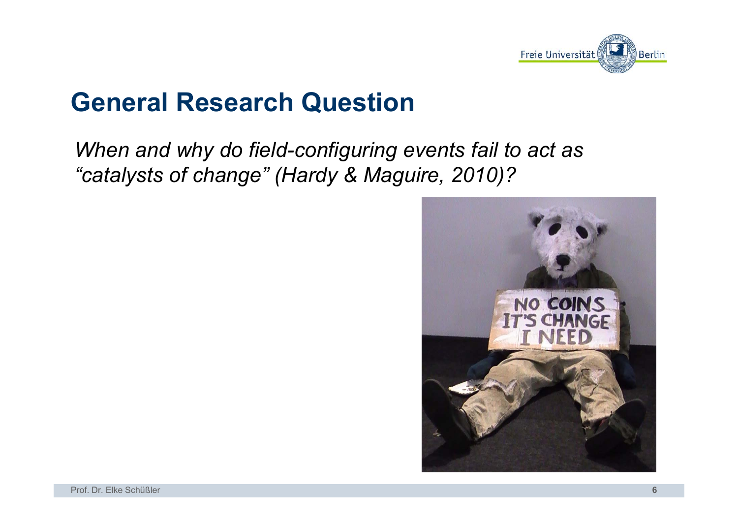

# **General Research Question**

*When and why do field-configuring events fail to act as "catalysts of change" (Hardy & Maguire, 2010)?* 

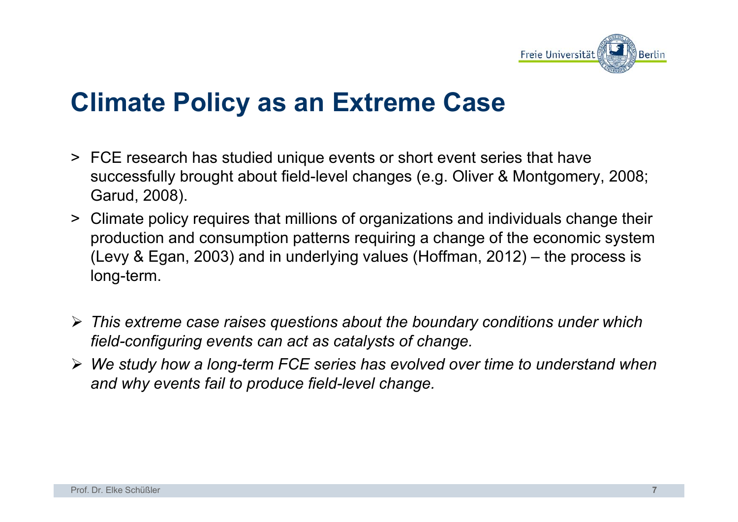

## **Climate Policy as an Extreme Case**

- > FCE research has studied unique events or short event series that have successfully brought about field-level changes (e.g. Oliver & Montgomery, 2008; Garud, 2008).
- > Climate policy requires that millions of organizations and individuals change their production and consumption patterns requiring a change of the economic system (Levy & Egan, 2003) and in underlying values (Hoffman, 2012) – the process is long-term.
- ¾ *This extreme case raises questions about the boundary conditions under which field-configuring events can act as catalysts of change.*
- ¾ *We study how a long-term FCE series has evolved over time to understand when and why events fail to produce field-level change.*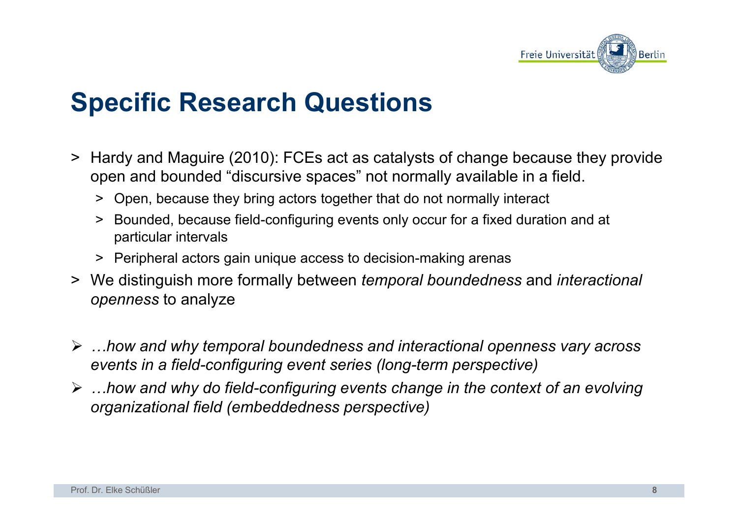

# **Specific Research Questions**

- > Hardy and Maguire (2010): FCEs act as catalysts of change because they provide open and bounded "discursive spaces" not normally available in a field.
	- > Open, because they bring actors together that do not normally interact
	- > Bounded, because field-configuring events only occur for a fixed duration and at particular intervals
	- > Peripheral actors gain unique access to decision-making arenas
- > We distinguish more formally between *temporal boundedness* and *interactional openness* to analyze
- ¾ *…how and why temporal boundedness and interactional openness vary across events in a field-configuring event series (long-term perspective)*
- ¾ *…how and why do field-configuring events change in the context of an evolving organizational field (embeddedness perspective)*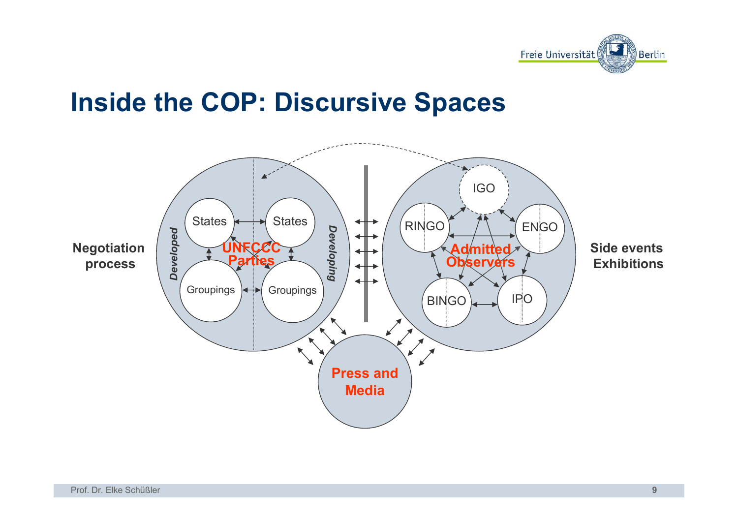

## **Inside the COP: Discursive Spaces**

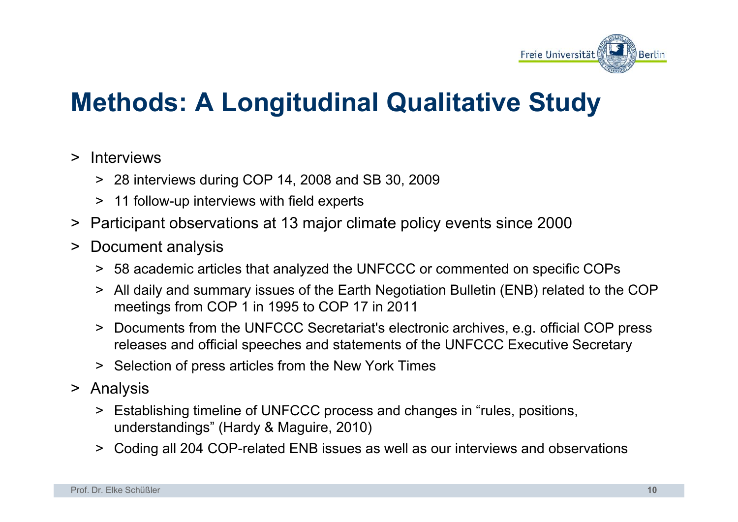

# **Methods: A Longitudinal Qualitative Study**

### > Interviews

- > 28 interviews during COP 14, 2008 and SB 30, 2009
- > 11 follow-up interviews with field experts
- > Participant observations at 13 major climate policy events since 2000
- > Document analysis
	- > 58 academic articles that analyzed the UNFCCC or commented on specific COPs
	- > All daily and summary issues of the Earth Negotiation Bulletin (ENB) related to the COP meetings from COP 1 in 1995 to COP 17 in 2011
	- > Documents from the UNFCCC Secretariat's electronic archives, e.g. official COP press releases and official speeches and statements of the UNFCCC Executive Secretary
	- > Selection of press articles from the New York Times
- > Analysis
	- > Establishing timeline of UNFCCC process and changes in "rules, positions, understandings" (Hardy & Maguire, 2010)
	- > Coding all 204 COP-related ENB issues as well as our interviews and observations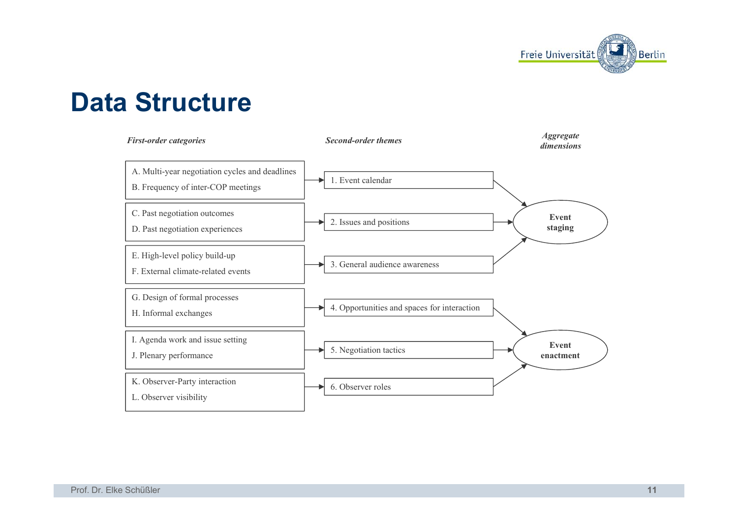

### **Data Structure**

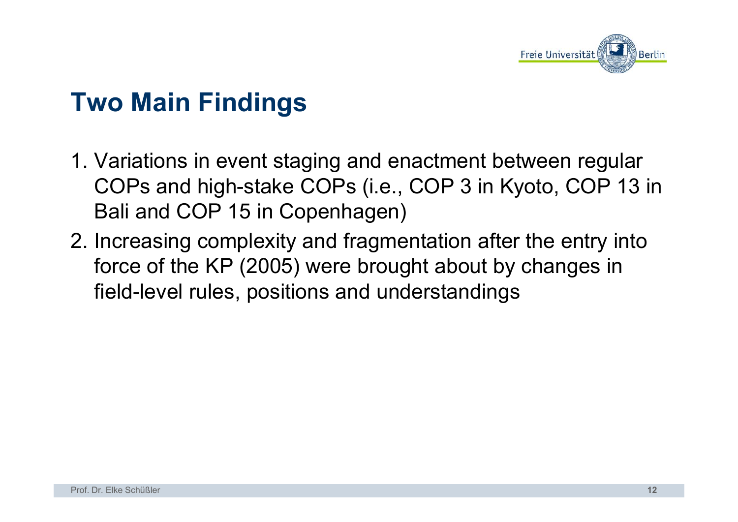

# **Two Main Findings**

- 1. Variations in event staging and enactment between regular COPs and high-stake COPs (i.e., COP 3 in Kyoto, COP 13 in Bali and COP 15 in Copenhagen)
- 2. Increasing complexity and fragmentation after the entry into force of the KP (2005) were brought about by changes in field-level rules, positions and understandings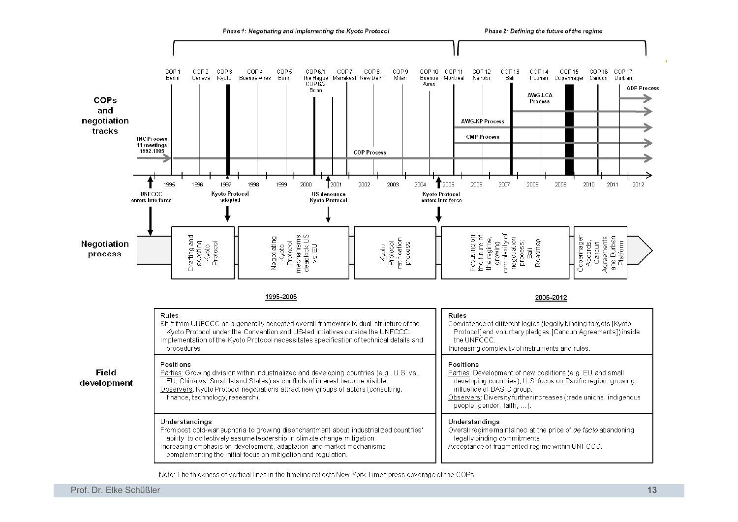

Note: The thickness of vertical lines in the timeline reflects New York Times press coverage of the COPs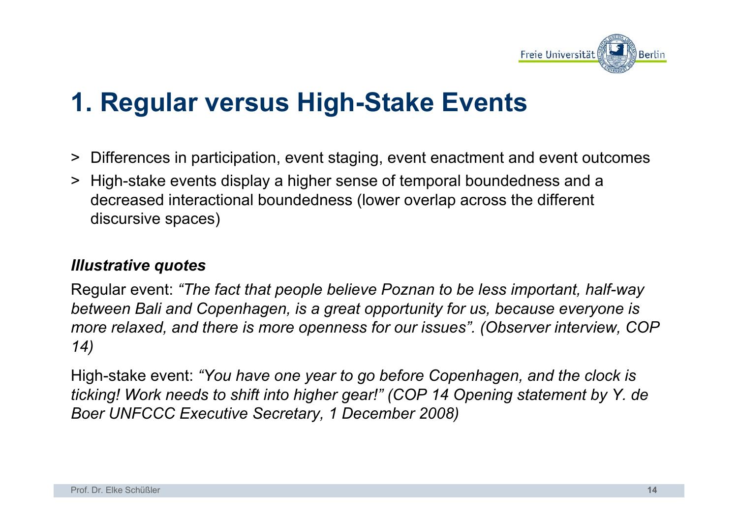

# **1. Regular versus High-Stake Events**

- > Differences in participation, event staging, event enactment and event outcomes
- > High-stake events display a higher sense of temporal boundedness and a decreased interactional boundedness (lower overlap across the different discursive spaces)

### *Illustrative quotes*

Regular event: *"The fact that people believe Poznan to be less important, half-way between Bali and Copenhagen, is a great opportunity for us, because everyone is more relaxed, and there is more openness for our issues". (Observer interview, COP 14)*

High-stake event: *"You have one year to go before Copenhagen, and the clock is ticking! Work needs to shift into higher gear!" (COP 14 Opening statement by Y. de Boer UNFCCC Executive Secretary, 1 December 2008)*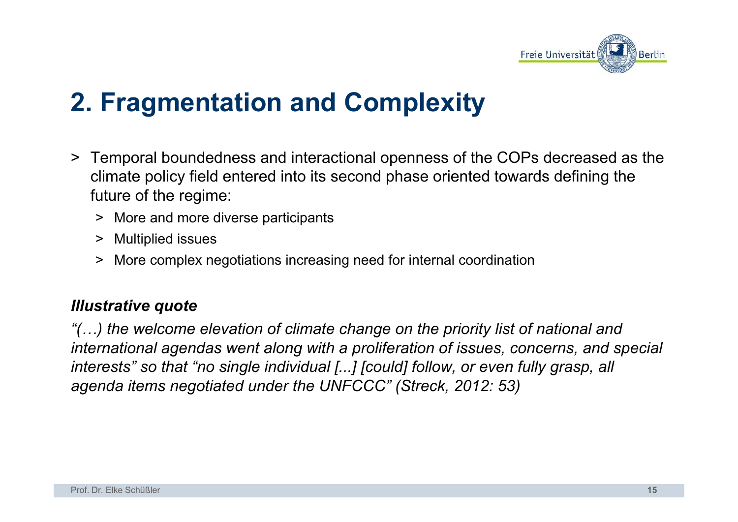

# **2. Fragmentation and Complexity**

- > Temporal boundedness and interactional openness of the COPs decreased as the climate policy field entered into its second phase oriented towards defining the future of the regime:
	- > More and more diverse participants
	- > Multiplied issues
	- > More complex negotiations increasing need for internal coordination

#### *Illustrative quote*

*"(…) the welcome elevation of climate change on the priority list of national and international agendas went along with a proliferation of issues, concerns, and special interests" so that "no single individual [...] [could] follow, or even fully grasp, all agenda items negotiated under the UNFCCC" (Streck, 2012: 53)*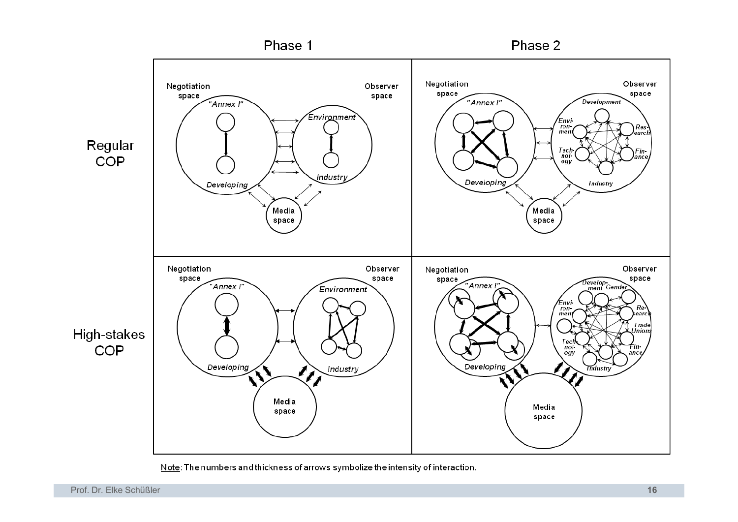

Note: The numbers and thickness of arrows symbolize the intensity of interaction.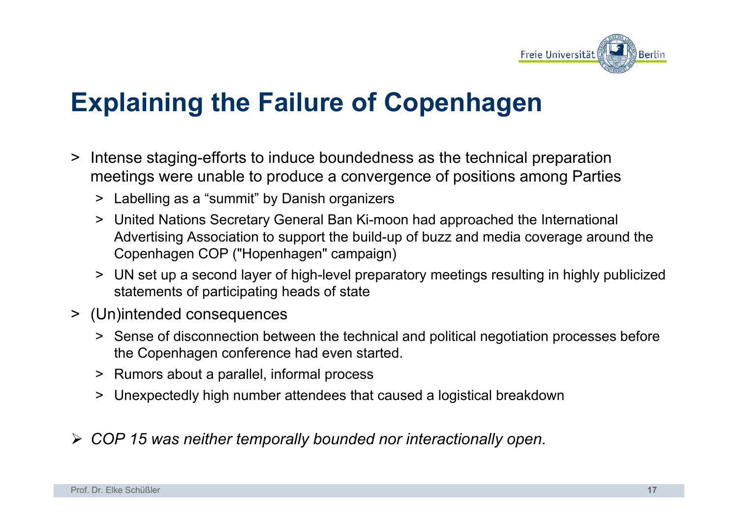

# **Explaining the Failure of Copenhagen**

- > Intense staging-efforts to induce boundedness as the technical preparation meetings were unable to produce a convergence of positions among Parties
	- > Labelling as a "summit" by Danish organizers
	- > United Nations Secretary General Ban Ki-moon had approached the International Advertising Association to support the build-up of buzz and media coverage around the Copenhagen COP ("Hopenhagen" campaign)
	- > UN set up a second layer of high-level preparatory meetings resulting in highly publicized statements of participating heads of state
- > (Un)intended consequences
	- > Sense of disconnection between the technical and political negotiation processes before the Copenhagen conference had even started.
	- > Rumors about a parallel, informal process
	- > Unexpectedly high number attendees that caused a logistical breakdown
- ¾ *COP 15 was neither temporally bounded nor interactionally open.*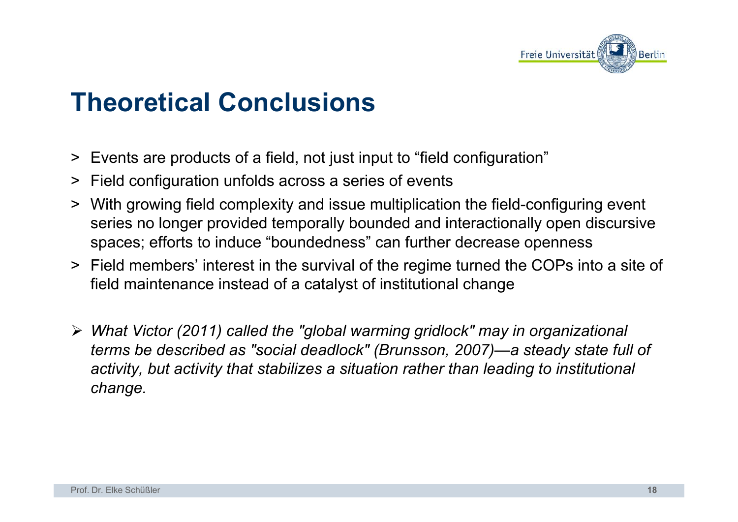

# **Theoretical Conclusions**

- > Events are products of a field, not just input to "field configuration"
- > Field configuration unfolds across a series of events
- > With growing field complexity and issue multiplication the field-configuring event series no longer provided temporally bounded and interactionally open discursive spaces; efforts to induce "boundedness" can further decrease openness
- > Field members' interest in the survival of the regime turned the COPs into a site of field maintenance instead of a catalyst of institutional change
- ¾ *What Victor (2011) called the "global warming gridlock" may in organizational terms be described as "social deadlock" (Brunsson, 2007)—a steady state full of activity, but activity that stabilizes a situation rather than leading to institutional change.*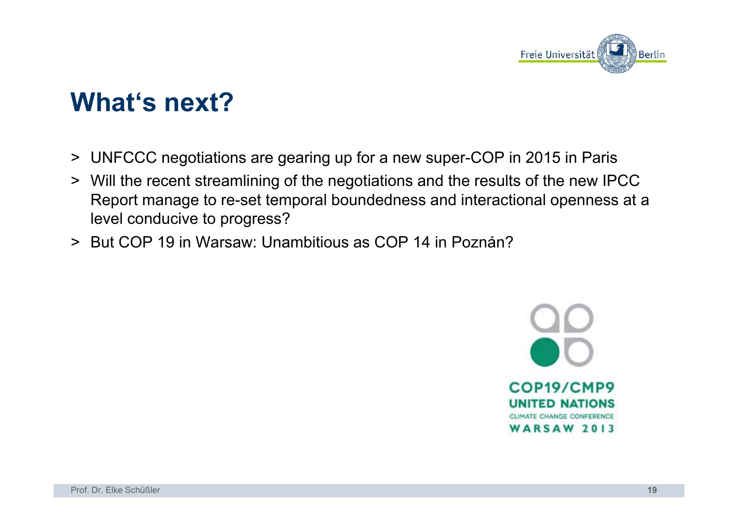

# **What's next?**

- > UNFCCC negotiations are gearing up for a new super-COP in 2015 in Paris
- > Will the recent streamlining of the negotiations and the results of the new IPCC Report manage to re-set temporal boundedness and interactional openness at a level conducive to progress?
- > But COP 19 in Warsaw: Unambitious as COP 14 in Poznán?